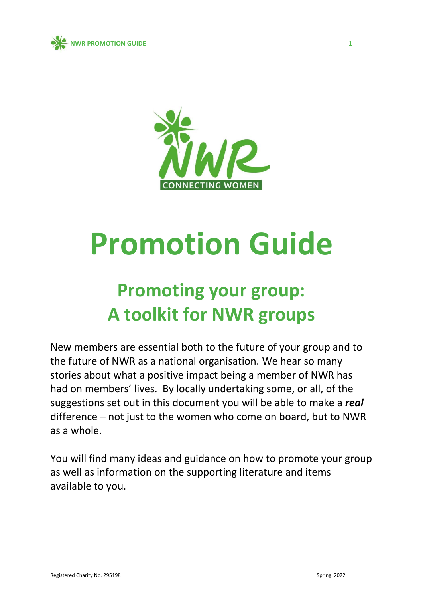



# **Promotion Guide**

## **Promoting your group: A toolkit for NWR groups**

New members are essential both to the future of your group and to the future of NWR as a national organisation. We hear so many stories about what a positive impact being a member of NWR has had on members' lives. By locally undertaking some, or all, of the suggestions set out in this document you will be able to make a *real*  difference – not just to the women who come on board, but to NWR as a whole.

You will find many ideas and guidance on how to promote your group as well as information on the supporting literature and items available to you.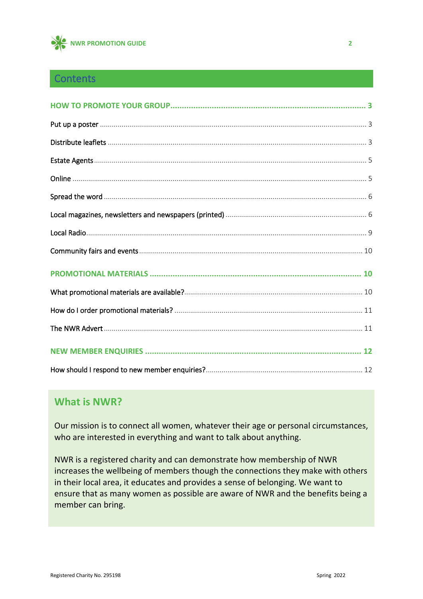

#### **Contents**

#### **What is NWR?**

Our mission is to connect all women, whatever their age or personal circumstances, who are interested in everything and want to talk about anything.

NWR is a registered charity and can demonstrate how membership of NWR increases the wellbeing of members though the connections they make with others in their local area, it educates and provides a sense of belonging. We want to ensure that as many women as possible are aware of NWR and the benefits being a member can bring.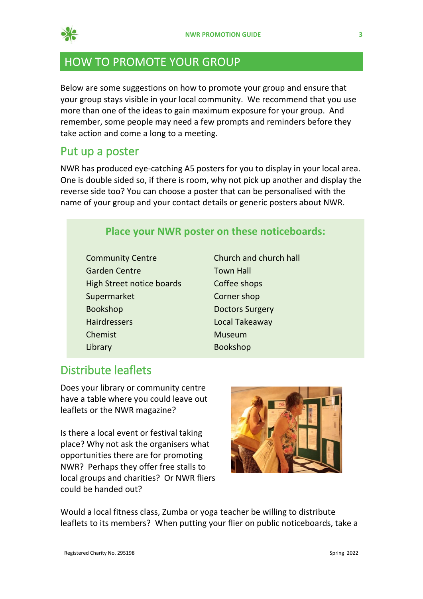

## <span id="page-2-0"></span>HOW TO PROMOTE YOUR GROUP

Below are some suggestions on how to promote your group and ensure that your group stays visible in your local community. We recommend that you use more than one of the ideas to gain maximum exposure for your group. And remember, some people may need a few prompts and reminders before they take action and come a long to a meeting.

#### <span id="page-2-1"></span>Put up a poster

NWR has produced eye-catching A5 posters for you to display in your local area. One is double sided so, if there is room, why not pick up another and display the reverse side too? You can choose a poster that can be personalised with the name of your group and your contact details or generic posters about NWR.

#### **Place your NWR poster on these noticeboards:**

- Community Centre Church and church hall Garden Centre Town Hall High Street notice boards Coffee shops Supermarket Corner shop Bookshop Doctors Surgery Hairdressers Local Takeaway Chemist Museum Library Bookshop
	-

#### <span id="page-2-2"></span>Distribute leaflets

Does your library or community centre have a table where you could leave out leaflets or the NWR magazine?

Is there a local event or festival taking place? Why not ask the organisers what opportunities there are for promoting NWR? Perhaps they offer free stalls to local groups and charities? Or NWR fliers could be handed out?



Would a local fitness class, Zumba or yoga teacher be willing to distribute leaflets to its members? When putting your flier on public noticeboards, take a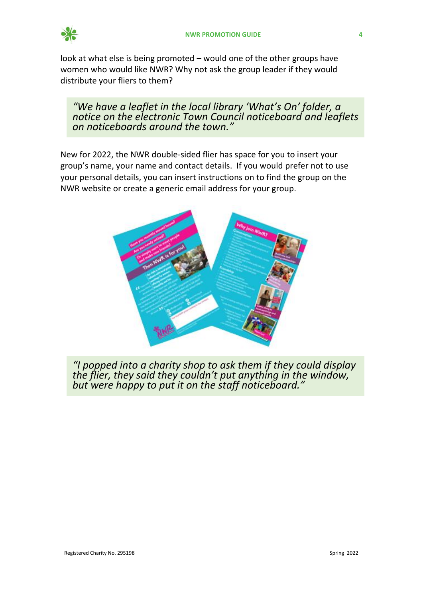

look at what else is being promoted – would one of the other groups have women who would like NWR? Why not ask the group leader if they would distribute your fliers to them?

*"We have a leaflet in the local library 'What's On' folder, a notice on the electronic Town Council noticeboard and leaflets on noticeboards around the town."*

New for 2022, the NWR double-sided flier has space for you to insert your group's name, your name and contact details. If you would prefer not to use your personal details, you can insert instructions on to find the group on the NWR website or create a generic email address for your group.



*"I popped into a charity shop to ask them if they could display the flier, they said they couldn't put anything in the window, but were happy to put it on the staff noticeboard."*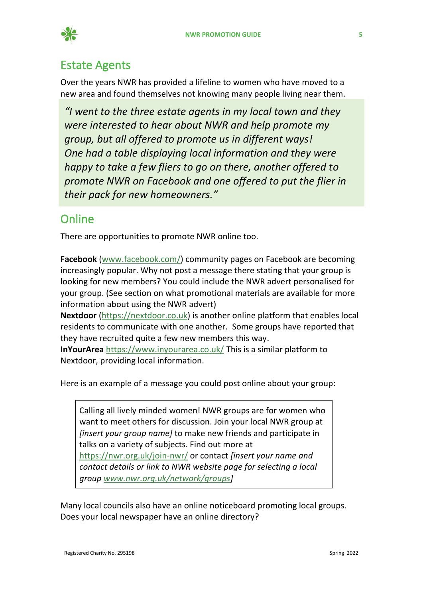

## <span id="page-4-0"></span>Estate Agents

Over the years NWR has provided a lifeline to women who have moved to a new area and found themselves not knowing many people living near them.

*"I went to the three estate agents in my local town and they were interested to hear about NWR and help promote my group, but all offered to promote us in different ways! One had a table displaying local information and they were happy to take a few fliers to go on there, another offered to promote NWR on Facebook and one offered to put the flier in their pack for new homeowners."*

## <span id="page-4-1"></span>**Online**

There are opportunities to promote NWR online too.

**Facebook** [\(www.facebook.com/\)](http://www.facebook.com/) community pages on Facebook are becoming increasingly popular. Why not post a message there stating that your group is looking for new members? You could include the NWR advert personalised for your group. (See section on what promotional materials are available for more information about using the NWR advert)

**Nextdoor** [\(https://nextdoor.co.uk\)](https://nextdoor.co.uk/#neighbors) is another online platform that enables local residents to communicate with one another. Some groups have reported that they have recruited quite a few new members this way.

**InYourArea** <https://www.inyourarea.co.uk/> This is a similar platform to Nextdoor, providing local information.

Here is an example of a message you could post online about your group:

Calling all lively minded women! NWR groups are for women who want to meet others for discussion. Join your local NWR group at *[insert your group name]* to make new friends and participate in talks on a variety of subjects. Find out more at <https://nwr.org.uk/join-nwr/> or contact *[insert your name and contact details or link to NWR website page for selecting a local group [www.nwr.org.uk/network/groups\]](http://www.nwr.org.uk/network/groups)*

Many local councils also have an online noticeboard promoting local groups. Does your local newspaper have an online directory?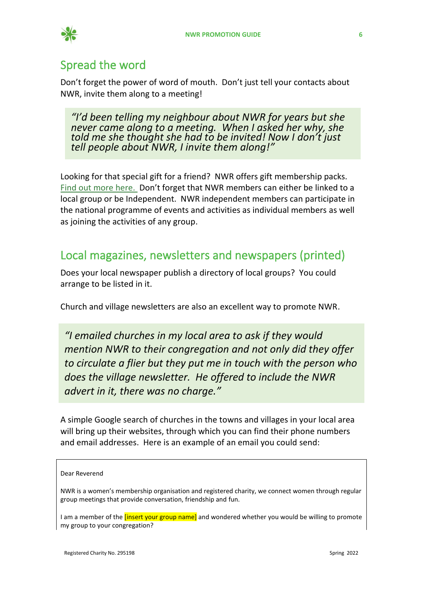

#### <span id="page-5-0"></span>Spread the word

Don't forget the power of word of mouth. Don't just tell your contacts about NWR, invite them along to a meeting!

*"I'd been telling my neighbour about NWR for years but she never came along to a meeting. When I asked her why, she told me she thought she had to be invited! Now I don't just tell people about NWR, I invite them along!"*

Looking for that special gift for a friend? NWR offers gift membership packs. [Find out more here.](https://nwr.org.uk/news/give-the-gift-of-friendship-2021-02-17/) Don't forget that NWR members can either be linked to a local group or be Independent. NWR independent members can participate in the national programme of events and activities as individual members as well as joining the activities of any group.

#### <span id="page-5-1"></span>Local magazines, newsletters and newspapers (printed)

Does your local newspaper publish a directory of local groups? You could arrange to be listed in it.

Church and village newsletters are also an excellent way to promote NWR.

*"I emailed churches in my local area to ask if they would mention NWR to their congregation and not only did they offer to circulate a flier but they put me in touch with the person who does the village newsletter. He offered to include the NWR advert in it, there was no charge."*

A simple Google search of churches in the towns and villages in your local area will bring up their websites, through which you can find their phone numbers and email addresses. Here is an example of an email you could send:

#### Dear Reverend

NWR is a women's membership organisation and registered charity, we connect women through regular group meetings that provide conversation, friendship and fun.

I am a member of the *[insert your group name]* and wondered whether you would be willing to promote my group to your congregation?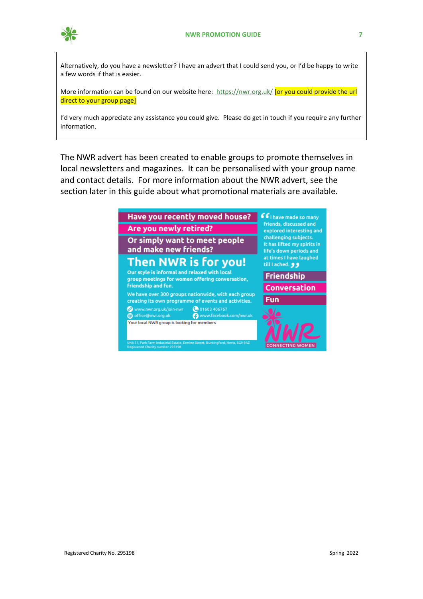

Alternatively, do you have a newsletter? I have an advert that I could send you, or I'd be happy to write a few words if that is easier.

More information can be found on our website here:<https://nwr.org.uk/> **[or you could provide the url** direct to your group page]

I'd very much appreciate any assistance you could give. Please do get in touch if you require any further information.

The NWR advert has been created to enable groups to promote themselves in local newsletters and magazines. It can be personalised with your group name and contact details. For more information about the NWR advert, see the section later in this guide about what promotional materials are available.

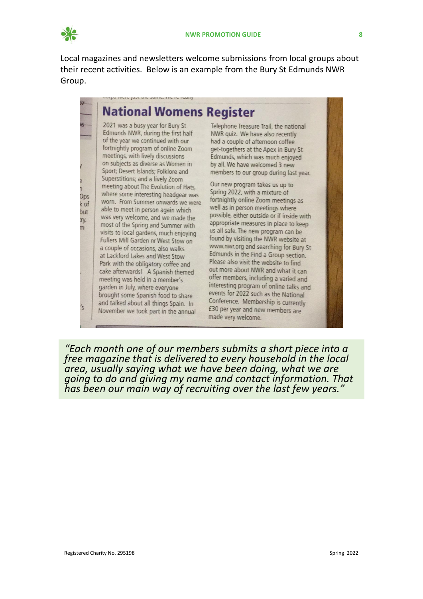

Ops

k of

but

ry.

m

's

Local magazines and newsletters welcome submissions from local groups about their recent activities. Below is an example from the Bury St Edmunds NWR Group.

## **National Womens Register**

2021 was a busy year for Bury St Edmunds NWR, during the first half of the year we continued with our fortnightly program of online Zoom meetings, with lively discussions on subjects as diverse as Women in Sport; Desert Islands; Folklore and Superstitions; and a lively Zoom meeting about The Evolution of Hats. where some interesting headgear was worn. From Summer onwards we were able to meet in person again which was very welcome, and we made the most of the Spring and Summer with visits to local gardens, much enjoying Fullers Mill Garden nr West Stow on a couple of occasions, also walks at Lackford Lakes and West Stow Park with the obligatory coffee and cake afterwards! A Spanish themed meeting was held in a member's garden in July, where everyone brought some Spanish food to share and talked about all things Spain. In November we took part in the annual

Telephone Treasure Trail, the national NWR quiz. We have also recently had a couple of afternoon coffee get-togethers at the Apex in Bury St Edmunds, which was much enjoyed by all. We have welcomed 3 new members to our group during last year.

Our new program takes us up to Spring 2022, with a mixture of fortnightly online Zoom meetings as well as in person meetings where possible, either outside or if inside with appropriate measures in place to keep us all safe. The new program can be found by visiting the NWR website at www.nwr.org and searching for Bury St Edmunds in the Find a Group section. Please also visit the website to find out more about NWR and what it can offer members, including a varied and interesting program of online talks and events for 2022 such as the National Conference. Membership is currently £30 per year and new members are made very welcome.

*"Each month one of our members submits a short piece into a free magazine that is delivered to every household in the local area, usually saying what we have been doing, what we are going to do and giving my name and contact information. That has been our main way of recruiting over the last few years."*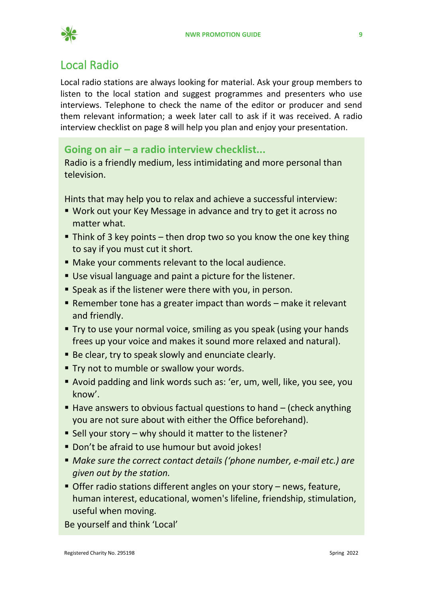

#### <span id="page-8-0"></span>Local Radio

Local radio stations are always looking for material. Ask your group members to listen to the local station and suggest programmes and presenters who use interviews. Telephone to check the name of the editor or producer and send them relevant information; a week later call to ask if it was received. A radio interview checklist on page 8 will help you plan and enjoy your presentation.

#### **Going on air – a radio interview checklist...**

Radio is a friendly medium, less intimidating and more personal than television.

Hints that may help you to relax and achieve a successful interview:

- Work out your Key Message in advance and try to get it across no matter what.
- **.** Think of 3 key points then drop two so you know the one key thing to say if you must cut it short.
- Make your comments relevant to the local audience.
- Use visual language and paint a picture for the listener.
- **E** Speak as if the listener were there with you, in person.
- **E** Remember tone has a greater impact than words  $-$  make it relevant and friendly.
- Try to use your normal voice, smiling as you speak (using your hands frees up your voice and makes it sound more relaxed and natural).
- Be clear, try to speak slowly and enunciate clearly.
- **Try not to mumble or swallow your words.**
- Avoid padding and link words such as: 'er, um, well, like, you see, you know'.
- $\blacksquare$  Have answers to obvious factual questions to hand  $\lightharpoonup$  (check anything you are not sure about with either the Office beforehand).
- Sell your story why should it matter to the listener?
- Don't be afraid to use humour but avoid jokes!
- *Make sure the correct contact details ('phone number, e-mail etc.) are given out by the station.*
- **Offer radio stations different angles on your story news, feature,** human interest, educational, women's lifeline, friendship, stimulation, useful when moving.

Be yourself and think 'Local'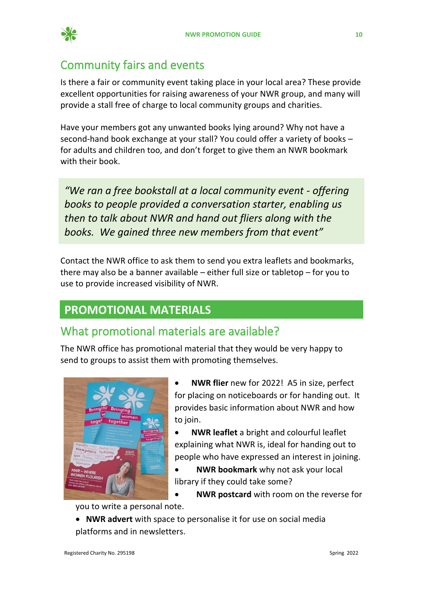

## <span id="page-9-0"></span>Community fairs and events

Is there a fair or community event taking place in your local area? These provide excellent opportunities for raising awareness of your NWR group, and many will provide a stall free of charge to local community groups and charities.

Have your members got any unwanted books lying around? Why not have a second-hand book exchange at your stall? You could offer a variety of books – for adults and children too, and don't forget to give them an NWR bookmark with their book

*"We ran a free bookstall at a local community event - offering books to people provided a conversation starter, enabling us then to talk about NWR and hand out fliers along with the books. We gained three new members from that event"*

Contact the NWR office to ask them to send you extra leaflets and bookmarks, there may also be a banner available – either full size or tabletop – for you to use to provide increased visibility of NWR.

#### <span id="page-9-1"></span>**PROMOTIONAL MATERIALS**

#### <span id="page-9-2"></span>What promotional materials are available?

The NWR office has promotional material that they would be very happy to send to groups to assist them with promoting themselves.



- **NWR flier** new for 2022! A5 in size, perfect for placing on noticeboards or for handing out. It provides basic information about NWR and how to join.
- **NWR leaflet** a bright and colourful leaflet explaining what NWR is, ideal for handing out to people who have expressed an interest in joining.
- **NWR bookmark** why not ask your local library if they could take some?
- **NWR postcard** with room on the reverse for

you to write a personal note.

• **NWR advert** with space to personalise it for use on social media platforms and in newsletters.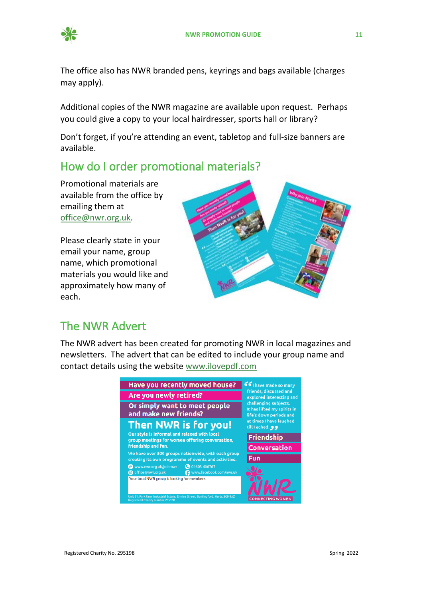

The office also has NWR branded pens, keyrings and bags available (charges may apply).

Additional copies of the NWR magazine are available upon request. Perhaps you could give a copy to your local hairdresser, sports hall or library?

Don't forget, if you're attending an event, tabletop and full-size banners are available.

## <span id="page-10-0"></span>How do I order promotional materials?

Promotional materials are available from the office by emailing them at [office@nwr.org.uk.](mailto:office@nwr.org.uk)

Please clearly state in your email your name, group name, which promotional materials you would like and approximately how many of each.



#### <span id="page-10-1"></span>The NWR Advert

The NWR advert has been created for promoting NWR in local magazines and newsletters. The advert that can be edited to include your group name and contact details using the website [www.ilovepdf.com](http://www.ilovepdf.com/)